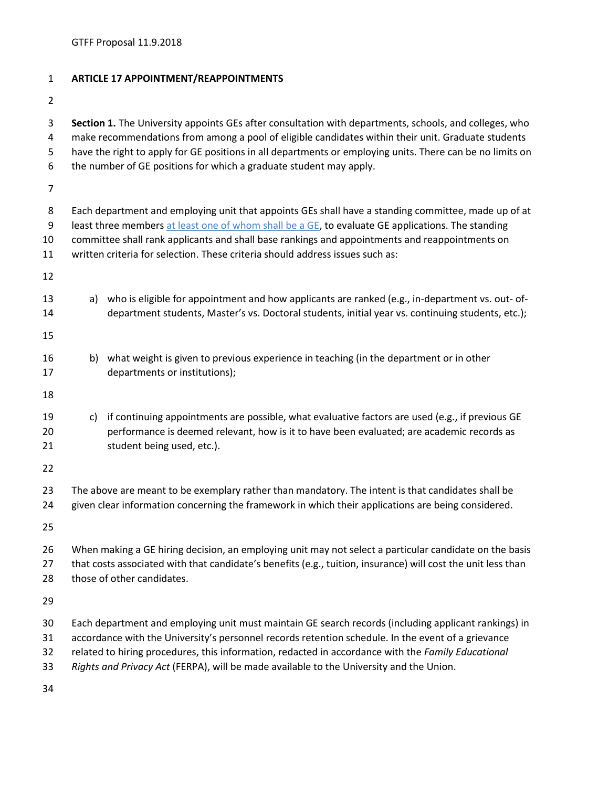GTFF Proposal 11.9.2018

| $\mathbf{1}$                       | <b>ARTICLE 17 APPOINTMENT/REAPPOINTMENTS</b>                                                                                                                                                                                                                                                                                                                                                                |
|------------------------------------|-------------------------------------------------------------------------------------------------------------------------------------------------------------------------------------------------------------------------------------------------------------------------------------------------------------------------------------------------------------------------------------------------------------|
| $\overline{2}$                     |                                                                                                                                                                                                                                                                                                                                                                                                             |
| 3<br>4<br>5<br>6<br>$\overline{7}$ | Section 1. The University appoints GEs after consultation with departments, schools, and colleges, who<br>make recommendations from among a pool of eligible candidates within their unit. Graduate students<br>have the right to apply for GE positions in all departments or employing units. There can be no limits on<br>the number of GE positions for which a graduate student may apply.             |
|                                    |                                                                                                                                                                                                                                                                                                                                                                                                             |
| 8<br>9<br>10<br>11                 | Each department and employing unit that appoints GEs shall have a standing committee, made up of at<br>least three members at least one of whom shall be a GE, to evaluate GE applications. The standing<br>committee shall rank applicants and shall base rankings and appointments and reappointments on<br>written criteria for selection. These criteria should address issues such as:                 |
| 12                                 |                                                                                                                                                                                                                                                                                                                                                                                                             |
| 13<br>14                           | a) who is eligible for appointment and how applicants are ranked (e.g., in-department vs. out- of-<br>department students, Master's vs. Doctoral students, initial year vs. continuing students, etc.);                                                                                                                                                                                                     |
| 15                                 |                                                                                                                                                                                                                                                                                                                                                                                                             |
| 16<br>17                           | b) what weight is given to previous experience in teaching (in the department or in other<br>departments or institutions);                                                                                                                                                                                                                                                                                  |
| 18                                 |                                                                                                                                                                                                                                                                                                                                                                                                             |
| 19<br>20<br>21                     | if continuing appointments are possible, what evaluative factors are used (e.g., if previous GE<br>c)<br>performance is deemed relevant, how is it to have been evaluated; are academic records as<br>student being used, etc.).                                                                                                                                                                            |
| 22                                 |                                                                                                                                                                                                                                                                                                                                                                                                             |
| 23<br>24                           | The above are meant to be exemplary rather than mandatory. The intent is that candidates shall be<br>given clear information concerning the framework in which their applications are being considered.                                                                                                                                                                                                     |
| 25                                 |                                                                                                                                                                                                                                                                                                                                                                                                             |
| 26<br>27<br>28                     | When making a GE hiring decision, an employing unit may not select a particular candidate on the basis<br>that costs associated with that candidate's benefits (e.g., tuition, insurance) will cost the unit less than<br>those of other candidates.                                                                                                                                                        |
| 29                                 |                                                                                                                                                                                                                                                                                                                                                                                                             |
| 30<br>31<br>32<br>33               | Each department and employing unit must maintain GE search records (including applicant rankings) in<br>accordance with the University's personnel records retention schedule. In the event of a grievance<br>related to hiring procedures, this information, redacted in accordance with the Family Educational<br>Rights and Privacy Act (FERPA), will be made available to the University and the Union. |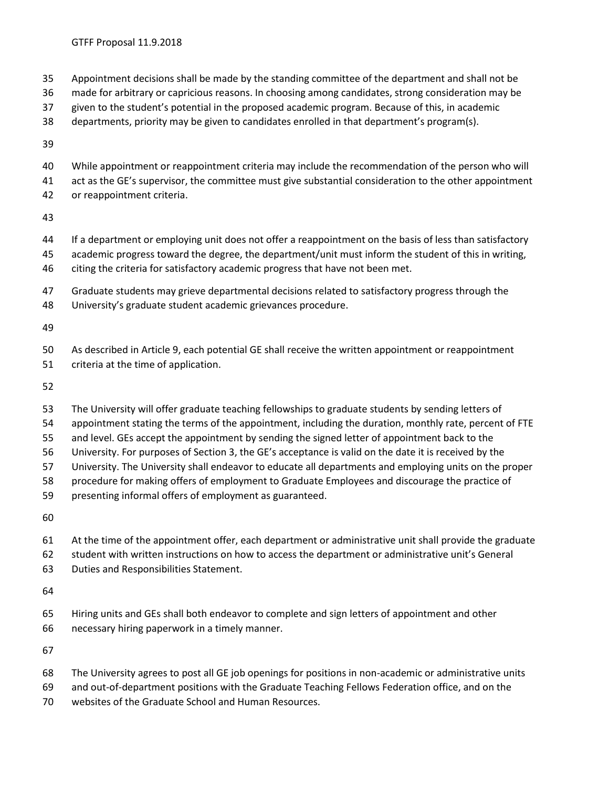- Appointment decisions shall be made by the standing committee of the department and shall not be
- made for arbitrary or capricious reasons. In choosing among candidates, strong consideration may be
- given to the student's potential in the proposed academic program. Because of this, in academic
- departments, priority may be given to candidates enrolled in that department's program(s).
- 
- While appointment or reappointment criteria may include the recommendation of the person who will
- act as the GE's supervisor, the committee must give substantial consideration to the other appointment or reappointment criteria.
- 
- If a department or employing unit does not offer a reappointment on the basis of less than satisfactory
- academic progress toward the degree, the department/unit must inform the student of this in writing,
- citing the criteria for satisfactory academic progress that have not been met.
- Graduate students may grieve departmental decisions related to satisfactory progress through the
- University's graduate student academic grievances procedure.

 As described in Article 9, each potential GE shall receive the written appointment or reappointment criteria at the time of application.

- The University will offer graduate teaching fellowships to graduate students by sending letters of
- appointment stating the terms of the appointment, including the duration, monthly rate, percent of FTE
- and level. GEs accept the appointment by sending the signed letter of appointment back to the
- University. For purposes of Section 3, the GE's acceptance is valid on the date it is received by the
- University. The University shall endeavor to educate all departments and employing units on the proper
- procedure for making offers of employment to Graduate Employees and discourage the practice of
- presenting informal offers of employment as guaranteed.

- At the time of the appointment offer, each department or administrative unit shall provide the graduate
- student with written instructions on how to access the department or administrative unit's General
- Duties and Responsibilities Statement.

 Hiring units and GEs shall both endeavor to complete and sign letters of appointment and other necessary hiring paperwork in a timely manner.

- The University agrees to post all GE job openings for positions in non-academic or administrative units
- and out-of-department positions with the Graduate Teaching Fellows Federation office, and on the
- websites of the Graduate School and Human Resources.